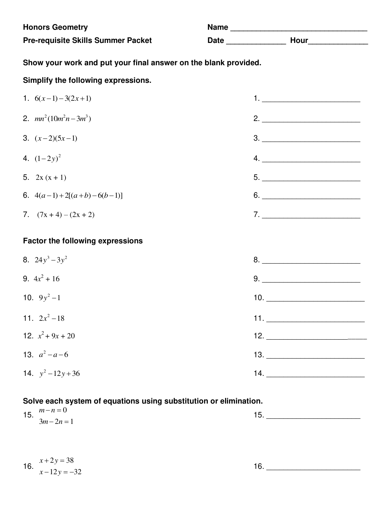| <b>Honors Geometry</b><br><b>Pre-requisite Skills Summer Packet</b> |                                                                                                                                                                                                                                                                                                                                                                                                                                                                                                                 |  |  |
|---------------------------------------------------------------------|-----------------------------------------------------------------------------------------------------------------------------------------------------------------------------------------------------------------------------------------------------------------------------------------------------------------------------------------------------------------------------------------------------------------------------------------------------------------------------------------------------------------|--|--|
| Show your work and put your final answer on the blank provided.     |                                                                                                                                                                                                                                                                                                                                                                                                                                                                                                                 |  |  |
| Simplify the following expressions.                                 |                                                                                                                                                                                                                                                                                                                                                                                                                                                                                                                 |  |  |
| 1. $6(x-1)-3(2x+1)$                                                 | 1. <u>__________________________</u>                                                                                                                                                                                                                                                                                                                                                                                                                                                                            |  |  |
| 2. $mn^2(10m^2n-3m^3)$                                              |                                                                                                                                                                                                                                                                                                                                                                                                                                                                                                                 |  |  |
| 3. $(x-2)(5x-1)$                                                    | $\begin{array}{c} \n \texttt{3.} \quad \texttt{\_} \quad \texttt{\_} \quad \texttt{\_} \quad \texttt{\_} \quad \texttt{\_} \quad \texttt{\_} \quad \texttt{\_} \quad \texttt{\_} \quad \texttt{\_} \quad \texttt{\_} \quad \texttt{\_} \quad \texttt{\_} \quad \texttt{\_} \quad \texttt{\_} \quad \texttt{\_} \quad \texttt{\_} \quad \texttt{\_} \quad \texttt{\_} \quad \texttt{\_} \quad \texttt{\_} \quad \texttt{\_} \quad \texttt{\_} \quad \texttt{\_} \quad \texttt{\_} \quad \texttt{\_} \quad \text$ |  |  |
| 4. $(1-2y)^2$                                                       |                                                                                                                                                                                                                                                                                                                                                                                                                                                                                                                 |  |  |
| 5. $2x(x + 1)$                                                      | $\begin{array}{c} 5. \end{array}$                                                                                                                                                                                                                                                                                                                                                                                                                                                                               |  |  |
| 6. $4(a-1)+2[(a+b)-6(b-1)]$                                         | $6. \underline{\hspace{2cm}}$                                                                                                                                                                                                                                                                                                                                                                                                                                                                                   |  |  |
| 7. $(7x + 4) - (2x + 2)$                                            | 7.                                                                                                                                                                                                                                                                                                                                                                                                                                                                                                              |  |  |
| <b>Factor the following expressions</b>                             |                                                                                                                                                                                                                                                                                                                                                                                                                                                                                                                 |  |  |
| 8. $24y^3 - 3y^2$                                                   |                                                                                                                                                                                                                                                                                                                                                                                                                                                                                                                 |  |  |
| 9. $4x^2 + 16$                                                      |                                                                                                                                                                                                                                                                                                                                                                                                                                                                                                                 |  |  |
| 10. $9y^2-1$                                                        | 10.                                                                                                                                                                                                                                                                                                                                                                                                                                                                                                             |  |  |
| 11. $2x^2-18$                                                       |                                                                                                                                                                                                                                                                                                                                                                                                                                                                                                                 |  |  |
| 12. $x^2 + 9x + 20$                                                 |                                                                                                                                                                                                                                                                                                                                                                                                                                                                                                                 |  |  |
| 13. $a^2 - a - 6$                                                   |                                                                                                                                                                                                                                                                                                                                                                                                                                                                                                                 |  |  |
| 14. $y^2 - 12y + 36$                                                | 14.                                                                                                                                                                                                                                                                                                                                                                                                                                                                                                             |  |  |

# **Solve each system of equations using substitution or elimination.**

| 15<br>. ب ا | $m-n=0$                         |   |
|-------------|---------------------------------|---|
|             | $3m - 2n = 1$<br>$ -$<br>$\sim$ | ∼ |

16.  $x + 2y$  $x - 12y$  $+2y=$  $-12y = 2y = 38$  $12y = -32$ 

16. \_\_\_\_\_\_\_\_\_\_\_\_\_\_\_\_\_\_\_\_\_\_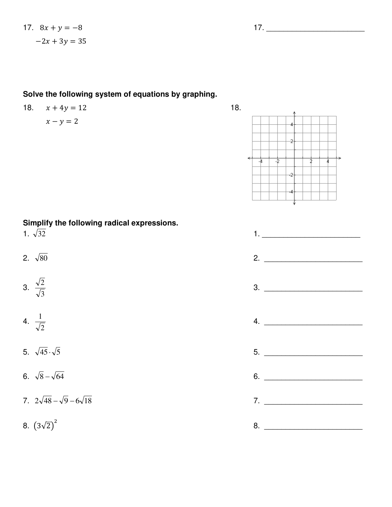#### **Solve the following system of equations by graphing.**

# 18.  $x + 4y = 12$  18.

## $x - y = 2$

**Simplify the following radical expressions.** 

$$
3. \ \frac{\sqrt{2}}{\sqrt{3}}
$$

$$
4. \ \frac{1}{\sqrt{2}}
$$

- 
- 
- 

8.  $(3\sqrt{2})^2$ 

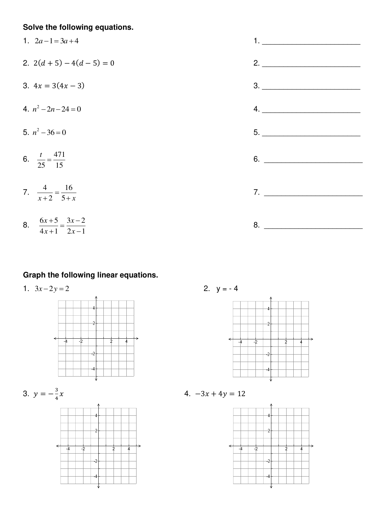### **Solve the following equations.**

1. 
$$
2a-1=3a+4
$$
  
\n2.  $2(d + 5) - 4(d - 5) = 0$   
\n3.  $4x = 3(4x - 3)$   
\n4.  $n^2-2n-24=0$   
\n5.  $n^2-36=0$   
\n6.  $\frac{t}{25} = \frac{471}{15}$   
\n7.  $\frac{4}{x+2} = \frac{16}{5+x}$   
\n8.  $\frac{6x+5}{4x+1} = \frac{3x-2}{2x-1}$ 

#### **Graph the following linear equations.**

1.  $3x-2y=2$  2.  $y=-4$ 



3. 
$$
y = -\frac{3}{4}
$$









 $x \hspace{1.5cm} 4.$